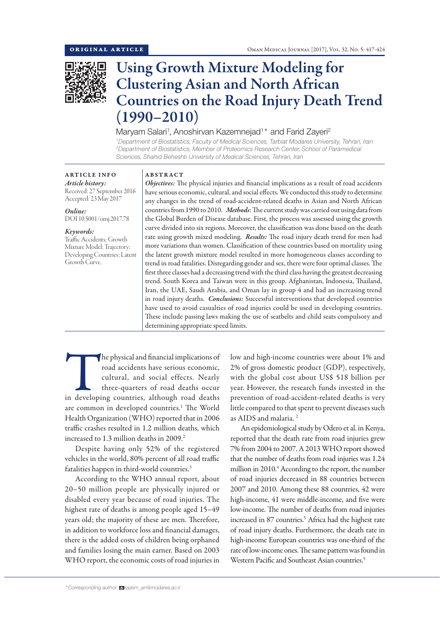

# Using Growth Mixture Modeling for Clustering Asian and North African Countries on the Road Injury Death Trend (1990–2010)

# Maryam Salari<sup>1</sup>, Anoshirvan Kazemnejad<sup>1\*</sup> and Farid Zayeri<sup>2</sup>

*1 Department of Biostatistics, Faculty of Medical Sciences, Tarbiat Modares University, Tehran, Iran 2 Department of Biostatistics, Member of Proteomics Research Center, School of Paramedical Sciences, Shahid Beheshti University of Medical Sciences, Tehran, Iran*

# ARTICLE INFO *Article history:*

Received: 27 September 2016 Accepted: 23 May 2017

*Online:* DOI 10.5001/omj.2017.78

#### *Keywords:*

Traffic Accidents; Growth Mixture Model; Trajectory; Developing Countries; Latent Growth Curve.

#### ABSTRACT

*Objectives:* The physical injuries and financial implications as a result of road accidents have serious economic, cultural, and social effects. We conducted this study to determine any changes in the trend of road-accident-related deaths in Asian and North African countries from 1990 to 2010. *Methods*: The current study was carried out using data from the Global Burden of Disease database. First, the process was assessed using the growth curve divided into six regions. Moreover, the classification was done based on the death rate using growth mixed modeling. *Results:* The road injury death trend for men had more variations than women. Classification of these countries based on mortality using the latent growth mixture model resulted in more homogeneous classes according to trend in road fatalities. Disregarding gender and sex, there were four optimal classes. The first three classes had a decreasing trend with the third class having the greatest decreasing trend. South Korea and Taiwan were in this group. Afghanistan, Indonesia, Thailand, Iran, the UAE, Saudi Arabia, and Oman lay in group 4 and had an increasing trend in road injury deaths. *Conclusions:* Successful interventions that developed countries have used to avoid casualties of road injuries could be used in developing countries. These include passing laws making the use of seatbelts and child seats compulsory and determining appropriate speed limits.

The physical and financial implications of<br>
road accidents have serious economic,<br>
cultural, and social effects. Nearly<br>
three-quarters of road deaths occur<br>
in developing countries, although road deaths road accidents have serious economic, cultural, and social effects. Nearly three-quarters of road deaths occur are common in developed countries.<sup>1</sup> The World Health Organization (WHO) reported that in 2006 traffic crashes resulted in 1.2 million deaths, which increased to 1.3 million deaths in 2009.<sup>2</sup>

Despite having only 52% of the registered vehicles in the world, 80% percent of all road traffic fatalities happen in third-world countries.3

According to the WHO annual report, about 20–50 million people are physically injured or disabled every year because of road injuries. The highest rate of deaths is among people aged 15–49 years old; the majority of these are men. Therefore, in addition to workforce loss and financial damages, there is the added costs of children being orphaned and families losing the main earner. Based on 2003 WHO report, the economic costs of road injuries in low and high-income countries were about 1% and 2% of gross domestic product (GDP), respectively, with the global cost about US\$ 518 billion per year. However, the research funds invested in the prevention of road-accident-related deaths is very little compared to that spent to prevent diseases such as AIDS and malaria. 2

An epidemiological study by Odero et al. in Kenya, reported that the death rate from road injuries grew 7% from 2004 to 2007. A 2013 WHO report showed that the number of deaths from road injuries was 1.24 million in 2010.4 According to the report, the number of road injuries decreased in 88 countries between 2007 and 2010. Among these 88 countries, 42 were high-income, 41 were middle-income, and five were low-income. The number of deaths from road injuries increased in 87 countries.<sup>5</sup> Africa had the highest rate of road injury deaths. Furthermore, the death rate in high-income European countries was one-third of the rate of low-income ones. The same pattern was found in Western Pacific and Southeast Asian countries.<sup>5</sup>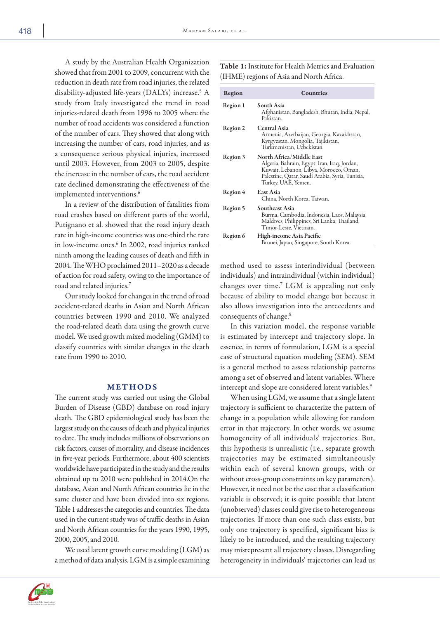A study by the Australian Health Organization showed that from 2001 to 2009, concurrent with the reduction in death rate from road injuries, the related disability-adjusted life-years (DALYs) increase.5 A study from Italy investigated the trend in road injuries-related death from 1996 to 2005 where the number of road accidents was considered a function of the number of cars. They showed that along with increasing the number of cars, road injuries, and as a consequence serious physical injuries, increased until 2003. However, from 2003 to 2005, despite the increase in the number of cars, the road accident rate declined demonstrating the effectiveness of the implemented interventions.<sup>6</sup>

In a review of the distribution of fatalities from road crashes based on different parts of the world, Putignano et al. showed that the road injury death rate in high-income countries was one-third the rate in low-income ones.6 In 2002, road injuries ranked ninth among the leading causes of death and fifth in 2004. The WHO proclaimed 2011–2020 as a decade of action for road safety, owing to the importance of road and related injuries.7

Our study looked for changes in the trend of road accident-related deaths in Asian and North African countries between 1990 and 2010. We analyzed the road-related death data using the growth curve model. We used growth mixed modeling (GMM) to classify countries with similar changes in the death rate from 1990 to 2010.

### METHODS

The current study was carried out using the Global Burden of Disease (GBD) database on road injury death. The GBD epidemiological study has been the largest study on the causes of death and physical injuries to date. The study includes millions of observations on risk factors, causes of mortality, and disease incidences in five-year periods. Furthermore, about 400 scientists worldwide have participated in the study and the results obtained up to 2010 were published in 2014.On the database, Asian and North African countries lie in the same cluster and have been divided into six regions. Table 1 addresses the categories and countries. The data used in the current study was of traffic deaths in Asian and North African countries for the years 1990, 1995, 2000, 2005, and 2010.

We used latent growth curve modeling (LGM) as a method of data analysis. LGM is a simple examining

Table 1: Institute for Health Metrics and Evaluation (IHME) regions of Asia and North Africa.

| Region   | Countries                                                                                                                                                                                    |
|----------|----------------------------------------------------------------------------------------------------------------------------------------------------------------------------------------------|
| Region 1 | South Asia<br>Afghanistan, Bangladesh, Bhutan, India, Nepal,<br>Pakistan                                                                                                                     |
| Region 2 | <b>Central Asia</b><br>Armenia, Azerbaijan, Georgia, Kazakhstan,<br>Kyrgyzstan, Mongolia, Tajikistan,<br>Turkmenistan, Uzbekistan.                                                           |
| Region 3 | North Africa/Middle East<br>Algeria, Bahrain, Egypt, Iran, Iraq, Jordan,<br>Kuwait, Lebanon, Libya, Morocco, Oman,<br>Palestine, Qatar, Saudi Arabia, Syria, Tunisia,<br>Turkey, UAE, Yemen. |
| Region 4 | East Asia<br>China, North Korea, Taiwan.                                                                                                                                                     |
| Region 5 | Southeast Asia<br>Burma, Cambodia, Indonesia, Laos, Malaysia,<br>Maldives, Philippines, Sri Lanka, Thailand,<br>Timor-Leste, Vietnam.                                                        |
| Region 6 | High-income Asia Pacific<br>Brunei, Japan, Singapore, South Korea.                                                                                                                           |

method used to assess interindividual (between individuals) and intraindividual (within individual) changes over time.7 LGM is appealing not only because of ability to model change but because it also allows investigation into the antecedents and consequents of change.8

In this variation model, the response variable is estimated by intercept and trajectory slope. In essence, in terms of formulation, LGM is a special case of structural equation modeling (SEM). SEM is a general method to assess relationship patterns among a set of observed and latent variables. Where intercept and slope are considered latent variables.<sup>9</sup>

When using LGM, we assume that a single latent trajectory is sufficient to characterize the pattern of change in a population while allowing for random error in that trajectory. In other words, we assume homogeneity of all individuals' trajectories. But, this hypothesis is unrealistic (i.e., separate growth trajectories may be estimated simultaneously within each of several known groups, with or without cross-group constraints on key parameters). However, it need not be the case that a classification variable is observed; it is quite possible that latent (unobserved) classes could give rise to heterogeneous trajectories. If more than one such class exists, but only one trajectory is specified, significant bias is likely to be introduced, and the resulting trajectory may misrepresent all trajectory classes. Disregarding heterogeneity in individuals' trajectories can lead us



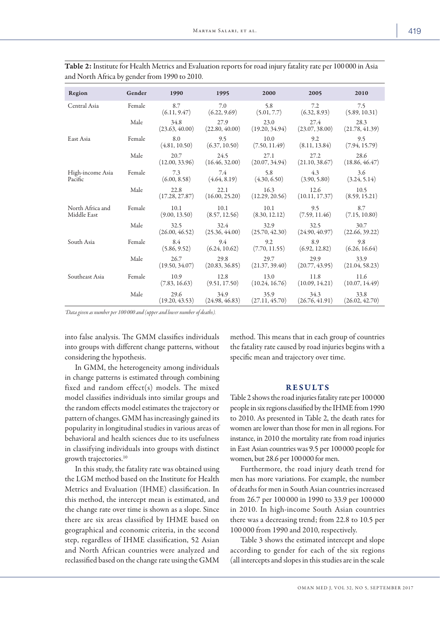| Region                          | Gender | 1990                   | 1995                                    | 2000                   | 2005                   | 2010                   |
|---------------------------------|--------|------------------------|-----------------------------------------|------------------------|------------------------|------------------------|
| Central Asia                    | Female | 8.7<br>(6.11, 9.47)    | 7.0<br>(6.22, 9.69)                     | 5.8<br>(5.01, 7.7)     | 7.2<br>(6.32, 8.93)    | 7.5<br>(5.89, 10.31)   |
|                                 | Male   | 34.8<br>(23.63, 40.00) | 27.9<br>(22.80, 40.00)                  | 23.0<br>(19.20, 34.94) | 27.4<br>(23.07, 38.00) | 28.3<br>(21.78, 41.39) |
| East Asia                       | Female | 8.0<br>(4.81, 10.50)   | 9.5<br>(6.37, 10.50)                    | 10.0<br>(7.50, 11.49)  | 9.2<br>(8.11, 13.84)   | 9.5<br>(7.94, 15.79)   |
|                                 | Male   | 20.7<br>(12.00, 33.96) | 24.5<br>(16.46, 32.00)                  | 27.1<br>(20.07, 34.94) | 27.2<br>(21.10, 38.67) | 28.6<br>(18.86, 46.47) |
| High-income Asia<br>Pacific     | Female | 7.3<br>(6.00, 8.58)    | 7.4<br>(4.64, 8.19)                     | 5.8<br>(4.30, 6.50)    | 4.3<br>(3.90, 5.80)    | 3.6<br>(3.24, 5.14)    |
|                                 | Male   | 22.8<br>(17.28, 27.87) | 22.1<br>(16.00, 25.20)                  | 16.3<br>(12.29, 20.56) | 12.6<br>(10.11, 17.37) | 10.5<br>(8.59, 15.21)  |
| North Africa and<br>Middle East | Female | 10.1<br>(9.00, 13.50)  | 10.1<br>(8.57, 12.56)                   | 10.1<br>(8.30, 12.12)  | 9.5<br>(7.59, 11.46)   | 8.7<br>(7.15, 10.80)   |
|                                 | Male   | 32.5<br>(26.00, 46.52) | 32.4<br>(25.36, 44.00)                  | 32.9<br>(25.70, 42.30) | 32.5<br>(24.90, 40.97) | 30.7<br>(22.66, 39.22) |
| South Asia                      | Female | 8.4<br>(5.86, 9.52)    | 9.4<br>(6.24, 10.62)                    | 9.2<br>(7.70, 11.55)   | 8.9<br>(6.92, 12.82)   | 9.8<br>(6.26, 16.64)   |
|                                 | Male   | 26.7<br>(19.50, 34.07) | 29.8<br>(20.83, 36.85)                  | 29.7<br>(21.37, 39.40) | 29.9<br>(20.77, 43.95) | 33.9<br>(21.04, 58.23) |
| Southeast Asia                  | Female | 10.9                   | 12.8<br>$(7.83, 16.63)$ $(9.51, 17.50)$ | 13.0<br>(10.24, 16.76) | 11.8<br>(10.09, 14.21) | 11.6<br>(10.07, 14.49) |
|                                 | Male   | 29.6<br>(19.20, 43.53) | 34.9<br>(24.98, 46.83)                  | 35.9<br>(27.11, 45.70) | 34.3<br>(26.76, 41.91) | 33.8<br>(26.02, 42.70) |

Table 2: Institute for Health Metrics and Evaluation reports for road injury fatality rate per 100 000 in Asia and North Africa by gender from 1990 to 2010.

*\*Data given as number per 100 000 and (upper and lower number of deaths).*

into false analysis. The GMM classifies individuals into groups with different change patterns, without considering the hypothesis.

In GMM, the heterogeneity among individuals in change patterns is estimated through combining fixed and random effect(s) models. The mixed model classifies individuals into similar groups and the random effects model estimates the trajectory or pattern of changes. GMM has increasingly gained its popularity in longitudinal studies in various areas of behavioral and health sciences due to its usefulness in classifying individuals into groups with distinct growth trajectories.10

In this study, the fatality rate was obtained using the LGM method based on the Institute for Health Metrics and Evaluation (IHME) classification. In this method, the intercept mean is estimated, and the change rate over time is shown as a slope. Since there are six areas classified by IHME based on geographical and economic criteria, in the second step, regardless of IHME classification, 52 Asian and North African countries were analyzed and reclassified based on the change rate using the GMM method. This means that in each group of countries the fatality rate caused by road injuries begins with a specific mean and trajectory over time.

## RESULTS

Table 2 shows the road injuries fatality rate per 100000 people in six regions classified by the IHME from 1990 to 2010. As presented in Table 2, the death rates for women are lower than those for men in all regions. For instance, in 2010 the mortality rate from road injuries in East Asian countries was 9.5 per 100000 people for women, but 28.6 per 100000 for men.

Furthermore, the road injury death trend for men has more variations. For example, the number of deaths for men in South Asian countries increased from 26.7 per 100 000 in 1990 to 33.9 per 100 000 in 2010. In high-income South Asian countries there was a decreasing trend; from 22.8 to 10.5 per 100 000 from 1990 and 2010, respectively.

Table 3 shows the estimated intercept and slope according to gender for each of the six regions (all intercepts and slopes in this studies are in the scale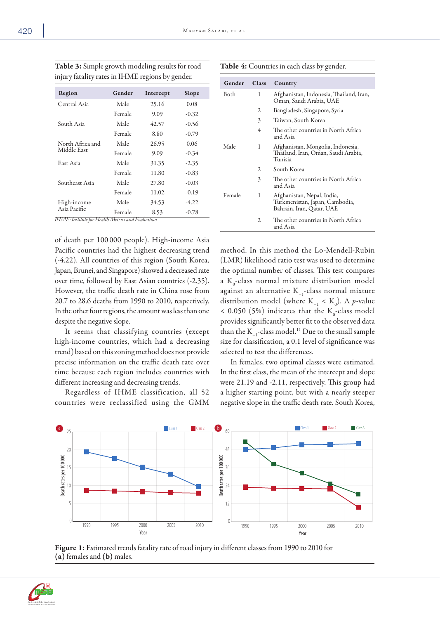|  | v<br>× |
|--|--------|

| Region           | Gender | Intercept | Slope   |
|------------------|--------|-----------|---------|
| Central Asia     | Male   | 25.16     | 0.08    |
|                  | Female | 9.09      | $-0.32$ |
| South Asia       | Male   | 42.57     | $-0.56$ |
|                  | Female | 8.80      | $-0.79$ |
| North Africa and | Male   | 26.95     | 0.06    |
| Middle East      | Female | 9.09      | $-0.34$ |
| East Asia        | Male   | 31.35     | $-2.35$ |
|                  | Female | 11.80     | $-0.83$ |
| Southeast Asia   | Male   | 27.80     | $-0.03$ |
|                  | Female | 11.02     | $-0.19$ |
| High-income      | Male   | 34.53     | $-4.22$ |
| Asia Pacific     | Female | 8.53      | $-0.78$ |

Table 3: Simple growth modeling results for road injury fatality rates in IHME regions by gender.

*IHME: Institute for Health Metrics and Evaluation.*

of death per 100 000 people). High-income Asia Pacific countries had the highest decreasing trend (-4.22). All countries of this region (South Korea, Japan, Brunei, and Singapore) showed a decreased rate over time, followed by East Asian countries (-2.35). However, the traffic death rate in China rose from 20.7 to 28.6 deaths from 1990 to 2010, respectively. In the other four regions, the amount was less than one despite the negative slope.

It seems that classifying countries (except high-income countries, which had a decreasing trend) based on this zoning method does not provide precise information on the traffic death rate over time because each region includes countries with different increasing and decreasing trends.

Regardless of IHME classification, all 52 countries were reclassified using the GMM

|  | Table 4: Countries in each class by gender. |  |  |  |  |
|--|---------------------------------------------|--|--|--|--|
|--|---------------------------------------------|--|--|--|--|

| Gender | <b>Class</b> | Country                                                                                   |
|--------|--------------|-------------------------------------------------------------------------------------------|
| Both   | 1            | Afghanistan, Indonesia, Thailand, Iran,<br>Oman, Saudi Arabia, UAE                        |
|        | 2            | Bangladesh, Singapore, Syria                                                              |
|        | 3            | Taiwan, South Korea                                                                       |
|        | 4            | The other countries in North Africa<br>and Asia                                           |
| Male   | 1            | Afghanistan, Mongolia, Indonesia,<br>Thailand, Iran, Oman, Saudi Arabia,<br>Tunisia       |
|        | 2            | South Korea                                                                               |
|        | 3            | The other countries in North Africa<br>and Asia                                           |
| Female | 1            | Afghanistan, Nepal, India,<br>Turkmenistan, Japan, Cambodia,<br>Bahrain, Iran, Qatar, UAE |
|        | 2            | The other countries in North Africa<br>and Asia                                           |

method. In this method the Lo-Mendell-Rubin (LMR) likelihood ratio test was used to determine the optimal number of classes. This test compares a  $K_0$ -class normal mixture distribution model against an alternative K−1-class normal mixture distribution model (where  $K_{-1} < K_0$ ). A *p*-value  $<$  0.050 (5%) indicates that the  $K_0$ -class model provides significantly better fit to the observed data than the K−1-class model.11 Due to the small sample size for classification, a 0.1 level of significance was selected to test the differences.

In females, two optimal classes were estimated. In the first class, the mean of the intercept and slope were 21.19 and -2.11, respectively. This group had a higher starting point, but with a nearly steeper negative slope in the traffic death rate. South Korea,



Figure 1: Estimated trends fatality rate of road injury in different classes from 1990 to 2010 for (a) females and (b) males.

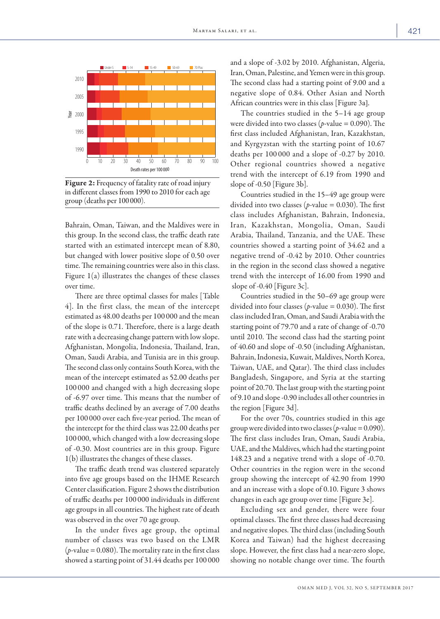

Figure 2: Frequency of fatality rate of road injury in different classes from 1990 to 2010 for each age group (deaths per 100 000).

Bahrain, Oman, Taiwan, and the Maldives were in this group. In the second class, the traffic death rate started with an estimated intercept mean of 8.80, but changed with lower positive slope of 0.50 over time. The remaining countries were also in this class. Figure 1(a) illustrates the changes of these classes over time.

There are three optimal classes for males [Table 4]. In the first class, the mean of the intercept estimated as 48.00 deaths per 100 000 and the mean of the slope is 0.71. Therefore, there is a large death rate with a decreasing change pattern with low slope. Afghanistan, Mongolia, Indonesia, Thailand, Iran, Oman, Saudi Arabia, and Tunisia are in this group. The second class only contains South Korea, with the mean of the intercept estimated as 52.00 deaths per 100 000 and changed with a high decreasing slope of -6.97 over time. This means that the number of traffic deaths declined by an average of 7.00 deaths per 100 000 over each five-year period. The mean of the intercept for the third class was 22.00 deaths per 100 000, which changed with a low decreasing slope of -0.30. Most countries are in this group. Figure 1(b) illustrates the changes of these classes.

The traffic death trend was clustered separately into five age groups based on the IHME Research Center classification. Figure 2 shows the distribution of traffic deaths per 100 000 individuals in different age groups in all countries. The highest rate of death was observed in the over 70 age group.

In the under fives age group, the optimal number of classes was two based on the LMR  $(p$ -value = 0.080). The mortality rate in the first class showed a starting point of 31.44 deaths per 100 000 and a slope of -3.02 by 2010. Afghanistan, Algeria, Iran, Oman, Palestine, and Yemen were in this group. The second class had a starting point of 9.00 and a negative slope of 0.84. Other Asian and North African countries were in this class [Figure 3a].

The countries studied in the 5–14 age group were divided into two classes (*p*-value = 0.090). The first class included Afghanistan, Iran, Kazakhstan, and Kyrgyzstan with the starting point of 10.67 deaths per 100 000 and a slope of -0.27 by 2010. Other regional countries showed a negative trend with the intercept of 6.19 from 1990 and slope of -0.50 [Figure 3b].

Countries studied in the 15–49 age group were divided into two classes ( $p$ -value = 0.030). The first class includes Afghanistan, Bahrain, Indonesia, Iran, Kazakhstan, Mongolia, Oman, Saudi Arabia, Thailand, Tanzania, and the UAE. These countries showed a starting point of 34.62 and a negative trend of -0.42 by 2010. Other countries in the region in the second class showed a negative trend with the intercept of 16.00 from 1990 and slope of -0.40 [Figure 3c].

Countries studied in the 50–69 age group were divided into four classes (*p*-value = 0.030). The first class included Iran, Oman, and Saudi Arabia with the starting point of 79.70 and a rate of change of -0.70 until 2010. The second class had the starting point of 40.60 and slope of -0.50 (including Afghanistan, Bahrain, Indonesia, Kuwait, Maldives, North Korea, Taiwan, UAE, and Qatar). The third class includes Bangladesh, Singapore, and Syria at the starting point of 20.70. The last group with the starting point of 9.10 and slope -0.90 includes all other countries in the region [Figure 3d].

For the over 70s, countries studied in this age group were divided into two classes (*p*-value = 0.090). The first class includes Iran, Oman, Saudi Arabia, UAE, and the Maldives, which had the starting point 148.23 and a negative trend with a slope of -0.70. Other countries in the region were in the second group showing the intercept of 42.90 from 1990 and an increase with a slope of 0.10. Figure 3 shows changes in each age group over time [Figure 3e].

Excluding sex and gender, there were four optimal classes. The first three classes had decreasing and negative slopes. The third class (including South Korea and Taiwan) had the highest decreasing slope. However, the first class had a near-zero slope, showing no notable change over time. The fourth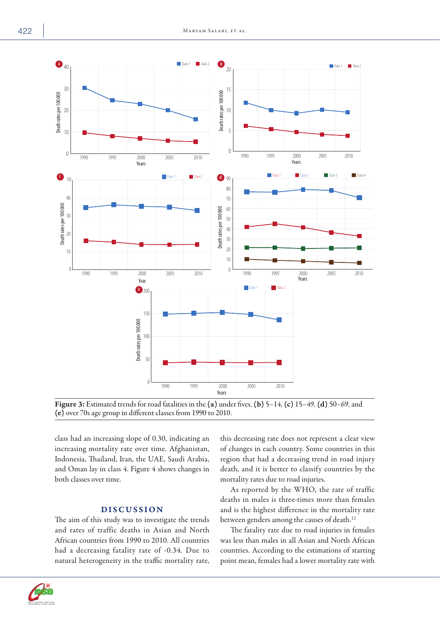



class had an increasing slope of 0.30, indicating an increasing mortality rate over time. Afghanistan, Indonesia, Thailand, Iran, the UAE, Saudi Arabia, and Oman lay in class 4. Figure 4 shows changes in both classes over time.

## DISCUSSION

The aim of this study was to investigate the trends and rates of traffic deaths in Asian and North African countries from 1990 to 2010. All countries had a decreasing fatality rate of -0.34. Due to natural heterogeneity in the traffic mortality rate, this decreasing rate does not represent a clear view of changes in each country. Some countries in this region that had a decreasing trend in road injury death, and it is better to classify countries by the mortality rates due to road injuries.

As reported by the WHO, the rate of traffic deaths in males is three-times more than females and is the highest difference in the mortality rate between genders among the causes of death.<sup>12</sup>

The fatality rate due to road injuries in females was less than males in all Asian and North African countries. According to the estimations of starting point mean, females had a lower mortality rate with



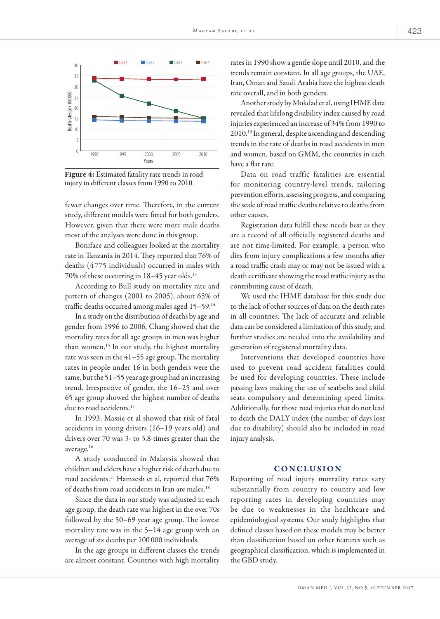

Figure 4: Estimated fatality rate trends in road injury in different classes from 1990 to 2010.

fewer changes over time. Therefore, in the current study, different models were fitted for both genders. However, given that there were more male deaths most of the analyses were done in this group.

Boniface and colleagues looked at the mortality rate in Tanzania in 2014. They reported that 76% of deaths (4 775 individuals) occurred in males with 70% of these occurring in 18–45 year olds.13

According to Bull study on mortality rate and pattern of changes (2001 to 2005), about 65% of traffic deaths occurred among males aged 15–59.14

In a study on the distribution of deaths by age and gender from 1996 to 2006, Chang showed that the mortality rates for all age groups in men was higher than women.15 In our study, the highest mortality rate was seen in the 41–55 age group. The mortality rates in people under 16 in both genders were the same, but the 51–55 year age group had an increasing trend. Irrespective of gender, the 16–25 and over 65 age group showed the highest number of deaths due to road accidents.<sup>15</sup>

In 1993, Massie et al showed that risk of fatal accidents in young drivers (16–19 years old) and drivers over 70 was 3- to 3.8-times greater than the average.16

A study conducted in Malaysia showed that children and elders have a higher risk of death due to road accidents.17 Hamzesh et al, reported that 76% of deaths from road accidents in Iran are males.18

Since the data in our study was adjusted in each age group, the death rate was highest in the over 70s followed by the 50–69 year age group. The lowest mortality rate was in the 5–14 age group with an average of six deaths per 100 000 individuals.

In the age groups in different classes the trends are almost constant. Countries with high mortality rates in 1990 show a gentle slope until 2010, and the trends remain constant. In all age groups, the UAE, Iran, Oman and Saudi Arabia have the highest death rate overall, and in both genders.

Another study by Mokdad et al, using IHME data revealed that lifelong disability index caused by road injuries experienced an increase of 34% from 1990 to 2010.19 In general, despite ascending and descending trends in the rate of deaths in road accidents in men and women, based on GMM, the countries in each have a flat rate.

Data on road traffic fatalities are essential for monitoring country-level trends, tailoring prevention efforts, assessing progress, and comparing the scale of road traffic deaths relative to deaths from other causes.

Registration data fulfill these needs best as they are a record of all officially registered deaths and are not time-limited. For example, a person who dies from injury complications a few months after a road traffic crash may or may not be issued with a death certificate showing the road traffic injury as the contributing cause of death.

We used the IHME database for this study due to the lack of other sources of data on the death rates in all countries. The lack of accurate and reliable data can be considered a limitation of this study, and further studies are needed into the availability and generation of registered mortality data.

Interventions that developed countries have used to prevent road accident fatalities could be used for developing countries. These include passing laws making the use of seatbelts and child seats compulsory and determining speed limits. Additionally, for those road injuries that do not lead to death the DALY index (the number of days lost due to disability) should also be included in road injury analysis.

### CONCLUSION

Reporting of road injury mortality rates vary substantially from country to country and low reporting rates in developing countries may be due to weaknesses in the healthcare and epidemiological systems. Our study highlights that defined classes based on these models may be better than classification based on other features such as geographical classification, which is implemented in the GBD study.